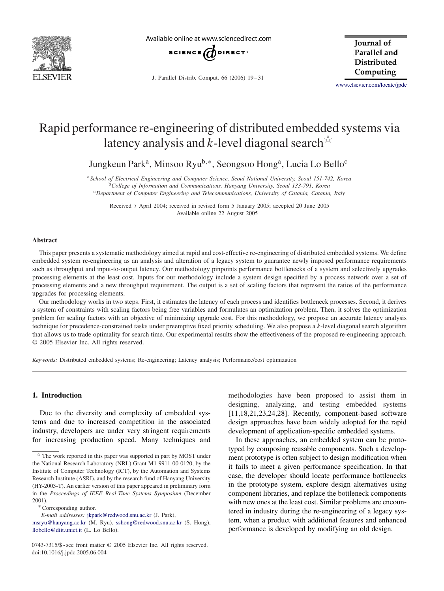

Available online at www.sciencedirect.com



J. Parallel Distrib. Comput. 66 (2006) 19 – 31

**Iournal** of Parallel and **Distributed** Computing

[www.elsevier.com/locate/jpdc](http://www.elsevier.com/locate/jpdc)

# Rapid performance re-engineering of distributed embedded systems via latency analysis and k-level diagonal search  $\overrightarrow{x}$

Jungkeun Park<sup>a</sup>, Minsoo Ryu<sup>b,∗</sup>, Seongsoo Hong<sup>a</sup>, Lucia Lo Bello<sup>c</sup>

<sup>a</sup>*School of Electrical Engineering and Computer Science, Seoul National University, Seoul 151-742, Korea* <sup>b</sup>*College of Information and Communications, Hanyang University, Seoul 133-791, Korea* <sup>c</sup>*Department of Computer Engineering and Telecommunications, University of Catania, Catania, Italy*

Received 7 April 2004; received in revised form 5 January 2005; accepted 20 June 2005 Available online 22 August 2005

#### **Abstract**

This paper presents a systematic methodology aimed at rapid and cost-effective re-engineering of distributed embedded systems. We define embedded system re-engineering as an analysis and alteration of a legacy system to guarantee newly imposed performance requirements such as throughput and input-to-output latency. Our methodology pinpoints performance bottlenecks of a system and selectively upgrades processing elements at the least cost. Inputs for our methodology include a system design specified by a process network over a set of processing elements and a new throughput requirement. The output is a set of scaling factors that represent the ratios of the performance upgrades for processing elements.

Our methodology works in two steps. First, it estimates the latency of each process and identifies bottleneck processes. Second, it derives a system of constraints with scaling factors being free variables and formulates an optimization problem. Then, it solves the optimization problem for scaling factors with an objective of minimizing upgrade cost. For this methodology, we propose an accurate latency analysis technique for precedence-constrained tasks under preemptive fixed priority scheduling. We also propose a k-level diagonal search algorithm that allows us to trade optimality for search time. Our experimental results show the effectiveness of the proposed re-engineering approach. © 2005 Elsevier Inc. All rights reserved.

*Keywords:* Distributed embedded systems; Re-engineering; Latency analysis; Performance/cost optimization

## **1. Introduction**

Due to the diversity and complexity of embedded systems and due to increased competition in the associated industry, developers are under very stringent requirements for increasing production speed. Many techniques and methodologies have been proposed to assist them in designing, analyzing, and testing embedded systems [\[11,18,21,23,24,28\].](#page--1-0) Recently, component-based software design approaches have been widely adopted for the rapid development of application-specific embedded systems.

In these approaches, an embedded system can be prototyped by composing reusable components. Such a development prototype is often subject to design modification when it fails to meet a given performance specification. In that case, the developer should locate performance bottlenecks in the prototype system, explore design alternatives using component libraries, and replace the bottleneck components with new ones at the least cost. Similar problems are encountered in industry during the re-engineering of a legacy system, when a product with additional features and enhanced performance is developed by modifying an old design.

 $*$  The work reported in this paper was supported in part by MOST under the National Research Laboratory (NRL) Grant M1-9911-00-0120, by the Institute of Computer Technology (ICT), by the Automation and Systems Research Institute (ASRI), and by the research fund of Hanyang University (HY-2003-T). An earlier version of this paper appeared in preliminary form in the *Proceedings of IEEE Real-Time Systems Symposium* (December 2001).<br>\* Corresponding author.

*E-mail addresses:* [jkpark@redwood.snu.ac.kr](mailto:jkpark@redwood.snu.ac.kr) (J. Park),

[msryu@hanyang.ac.kr](mailto:msryu@hanyang.ac.kr) (M. Ryu), [sshong@redwood.snu.ac.kr](mailto:sshong@redwood.snu.ac.kr) (S. Hong), [llobello@diit.unict.it](mailto:llobello@diit.unict.it) (L. Lo Bello).

<sup>0743-7315/\$ -</sup> see front matter © 2005 Elsevier Inc. All rights reserved. doi:10.1016/j.jpdc.2005.06.004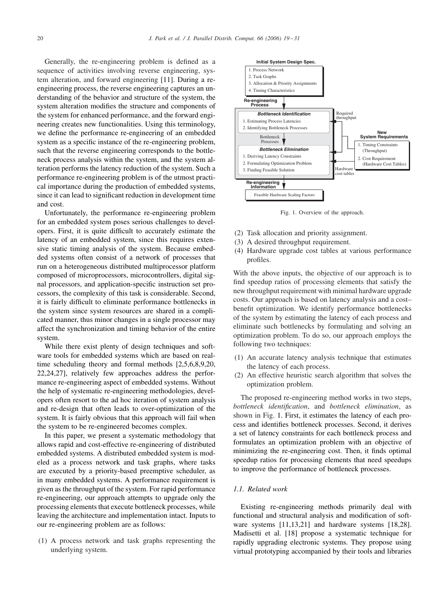Generally, the re-engineering problem is defined as a sequence of activities involving reverse engineering, system alteration, and forward engineering [\[11\].](#page--1-0) During a reengineering process, the reverse engineering captures an understanding of the behavior and structure of the system, the system alteration modifies the structure and components of the system for enhanced performance, and the forward engineering creates new functionalities. Using this terminology, we define the performance re-engineering of an embedded system as a specific instance of the re-engineering problem, such that the reverse engineering corresponds to the bottleneck process analysis within the system, and the system alteration performs the latency reduction of the system. Such a performance re-engineering problem is of the utmost practical importance during the production of embedded systems, since it can lead to significant reduction in development time and cost.

Unfortunately, the performance re-engineering problem for an embedded system poses serious challenges to developers. First, it is quite difficult to accurately estimate the latency of an embedded system, since this requires extensive static timing analysis of the system. Because embedded systems often consist of a network of processes that run on a heterogeneous distributed multiprocessor platform composed of microprocessors, microcontrollers, digital signal processors, and application-specific instruction set processors, the complexity of this task is considerable. Second, it is fairly difficult to eliminate performance bottlenecks in the system since system resources are shared in a complicated manner, thus minor changes in a single processor may affect the synchronization and timing behavior of the entire system.

While there exist plenty of design techniques and software tools for embedded systems which are based on realtime scheduling theory and formal methods [\[2,5,6,8,9,20,](#page--1-0) [22,24,27\],](#page--1-0) relatively few approaches address the performance re-engineering aspect of embedded systems. Without the help of systematic re-engineering methodologies, developers often resort to the ad hoc iteration of system analysis and re-design that often leads to over-optimization of the system. It is fairly obvious that this approach will fail when the system to be re-engineered becomes complex.

In this paper, we present a systematic methodology that allows rapid and cost-effective re-engineering of distributed embedded systems. A distributed embedded system is modeled as a process network and task graphs, where tasks are executed by a priority-based preemptive scheduler, as in many embedded systems. A performance requirement is given as the throughput of the system. For rapid performance re-engineering, our approach attempts to upgrade only the processing elements that execute bottleneck processes, while leaving the architecture and implementation intact. Inputs to our re-engineering problem are as follows:

(1) A process network and task graphs representing the underlying system.



Fig. 1. Overview of the approach.

- (2) Task allocation and priority assignment.
- (3) A desired throughput requirement.
- (4) Hardware upgrade cost tables at various performance profiles.

With the above inputs, the objective of our approach is to find speedup ratios of processing elements that satisfy the new throughput requirement with minimal hardware upgrade costs. Our approach is based on latency analysis and a cost– benefit optimization. We identify performance bottlenecks of the system by estimating the latency of each process and eliminate such bottlenecks by formulating and solving an optimization problem. To do so, our approach employs the following two techniques:

- (1) An accurate latency analysis technique that estimates the latency of each process.
- (2) An effective heuristic search algorithm that solves the optimization problem.

The proposed re-engineering method works in two steps, *bottleneck identification*, and *bottleneck elimination*, as shown in Fig. 1. First, it estimates the latency of each process and identifies bottleneck processes. Second, it derives a set of latency constraints for each bottleneck process and formulates an optimization problem with an objective of minimizing the re-engineering cost. Then, it finds optimal speedup ratios for processing elements that need speedups to improve the performance of bottleneck processes.

### *1.1. Related work*

Existing re-engineering methods primarily deal with functional and structural analysis and modification of soft-ware systems [\[11,13,21\]](#page--1-0) and hardware systems [\[18,28\].](#page--1-0) Madisetti et al. [\[18\]](#page--1-0) propose a systematic technique for rapidly upgrading electronic systems. They propose using virtual prototyping accompanied by their tools and libraries